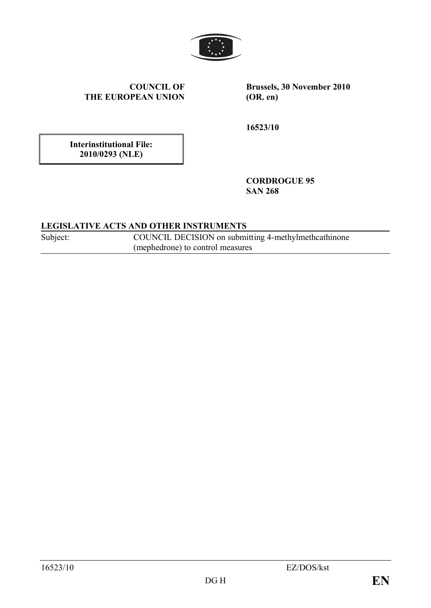

**COUNCIL OF THE EUROPEAN UNION** **Brussels, 30 November 2010 (OR. en)**

**16523/10**

**Interinstitutional File: 2010/0293 (NLE)**

> **CORDROGUE 95 SAN 268**

## **LEGISLATIVE ACTS AND OTHER INSTRUMENTS**

Subject: COUNCIL DECISION on submitting 4-methylmethcathinone (mephedrone) to control measures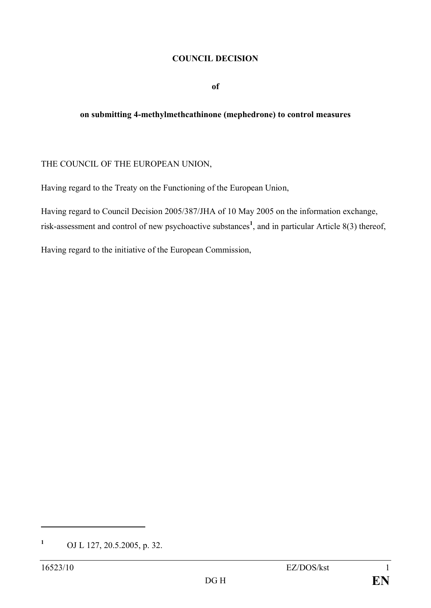#### **COUNCIL DECISION**

**of**

#### **on submitting 4-methylmethcathinone (mephedrone) to control measures**

## THE COUNCIL OF THE EUROPEAN UNION,

Having regard to the Treaty on the Functioning of the European Union,

Having regard to Council Decision 2005/387/JHA of 10 May 2005 on the information exchange, risk-assessment and control of new psychoactive substances**<sup>1</sup>** , and in particular Article 8(3) thereof,

Having regard to the initiative of the European Commission,

**<sup>1</sup>** OJ L 127, 20.5.2005, p. 32.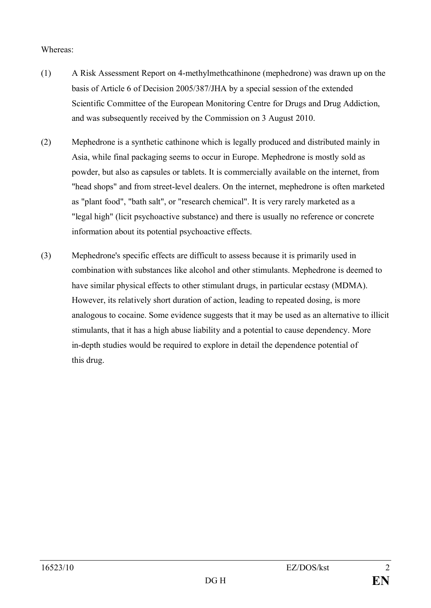## Whereas:

- (1) A Risk Assessment Report on 4-methylmethcathinone (mephedrone) was drawn up on the basis of Article 6 of Decision 2005/387/JHA by a special session of the extended Scientific Committee of the European Monitoring Centre for Drugs and Drug Addiction, and was subsequently received by the Commission on 3 August 2010.
- (2) Mephedrone is a synthetic cathinone which is legally produced and distributed mainly in Asia, while final packaging seems to occur in Europe. Mephedrone is mostly sold as powder, but also as capsules or tablets. It is commercially available on the internet, from "head shops" and from street-level dealers. On the internet, mephedrone is often marketed as "plant food", "bath salt", or "research chemical". It is very rarely marketed as a "legal high" (licit psychoactive substance) and there is usually no reference or concrete information about its potential psychoactive effects.
- (3) Mephedrone's specific effects are difficult to assess because it is primarily used in combination with substances like alcohol and other stimulants. Mephedrone is deemed to have similar physical effects to other stimulant drugs, in particular ecstasy (MDMA). However, its relatively short duration of action, leading to repeated dosing, is more analogous to cocaine. Some evidence suggests that it may be used as an alternative to illicit stimulants, that it has a high abuse liability and a potential to cause dependency. More in-depth studies would be required to explore in detail the dependence potential of this drug.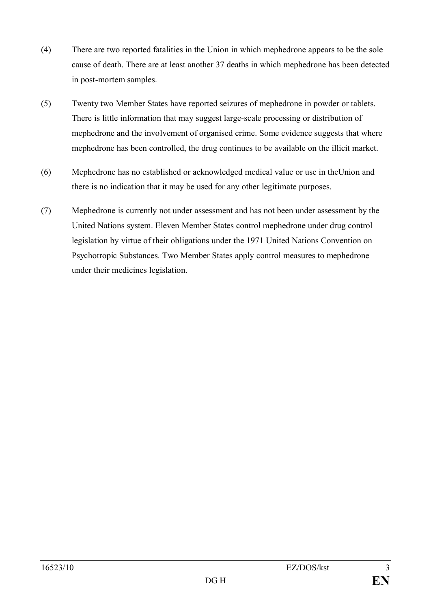- (4) There are two reported fatalities in the Union in which mephedrone appears to be the sole cause of death. There are at least another 37 deaths in which mephedrone has been detected in post-mortem samples.
- (5) Twenty two Member States have reported seizures of mephedrone in powder or tablets. There is little information that may suggest large-scale processing or distribution of mephedrone and the involvement of organised crime. Some evidence suggests that where mephedrone has been controlled, the drug continues to be available on the illicit market.
- (6) Mephedrone has no established or acknowledged medical value or use in theUnion and there is no indication that it may be used for any other legitimate purposes.
- (7) Mephedrone is currently not under assessment and has not been under assessment by the United Nations system. Eleven Member States control mephedrone under drug control legislation by virtue of their obligations under the 1971 United Nations Convention on Psychotropic Substances. Two Member States apply control measures to mephedrone under their medicines legislation.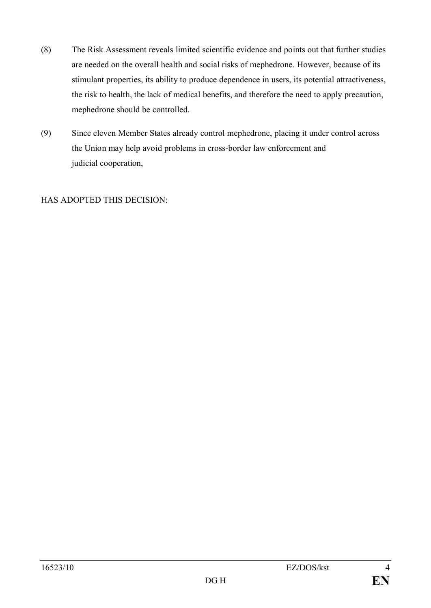- (8) The Risk Assessment reveals limited scientific evidence and points out that further studies are needed on the overall health and social risks of mephedrone. However, because of its stimulant properties, its ability to produce dependence in users, its potential attractiveness, the risk to health, the lack of medical benefits, and therefore the need to apply precaution, mephedrone should be controlled.
- (9) Since eleven Member States already control mephedrone, placing it under control across the Union may help avoid problems in cross-border law enforcement and judicial cooperation,

HAS ADOPTED THIS DECISION: